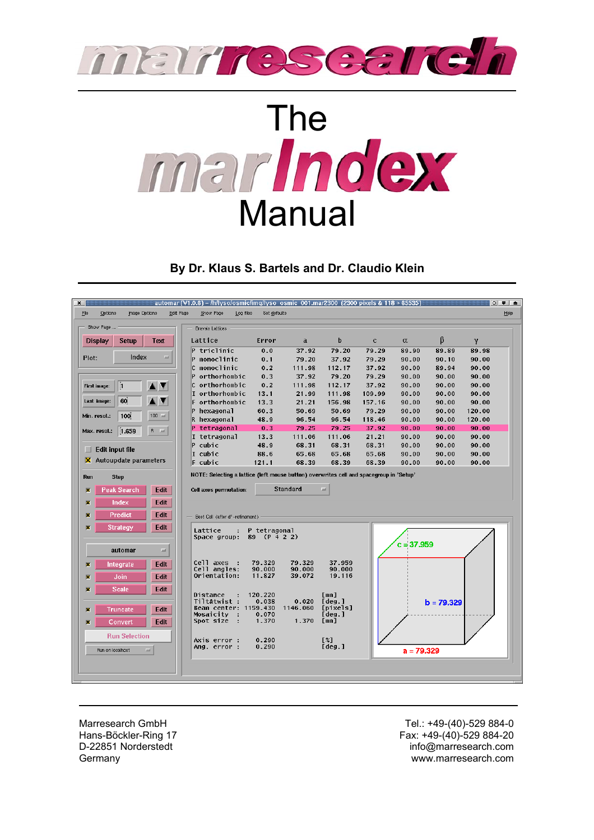



### **By Dr. Klaus S. Bartels and Dr. Claudio Klein**

| $\mathbf{x}$                                          | automar (V1.0.6) – /h/lyso/osmic/imq/lyso_osmic_001.mar2300_(2300 pixels & 118 > 65535) |                                      |                |                 |                |                |                 | $\circ$ $\bullet$ $\bullet$ |
|-------------------------------------------------------|-----------------------------------------------------------------------------------------|--------------------------------------|----------------|-----------------|----------------|----------------|-----------------|-----------------------------|
| Edit Page<br>File<br>Options<br>Image Options         | Log files<br>Show Page                                                                  | Set defaults                         |                |                 |                |                |                 | Help                        |
|                                                       |                                                                                         |                                      |                |                 |                |                |                 |                             |
| Show Page                                             | <b>Bravais Lattices</b>                                                                 |                                      |                |                 |                |                |                 |                             |
| <b>Setup</b><br><b>Text</b><br>Display                | Lattice                                                                                 | Error<br>$\mathbf{a}$                | þ              | $\mathbf c$     | α              | β              | γ               |                             |
|                                                       | P triclinic                                                                             | 0.0<br>37.92                         | 79.20          | 79.29           | 89.90          | 89.89          | 89.98           |                             |
| Index<br>$=$<br>Plot:                                 | P monoclinic                                                                            | 0.1<br>79.20                         | 37.92          | 79.29           | 90.00          | 90.10          | 90.00           |                             |
|                                                       | C monoclinic                                                                            | 0.2<br>111.98                        | 112.17         | 37.92           | 90.00          | 89.94          | 90.00           |                             |
|                                                       | P orthorhombic                                                                          | 0.3<br>37.92                         | 79.20          | 79.29           | 90.00          | 90.00          | 90.00           |                             |
| 11<br><b>First image:</b>                             | C orthorhombic                                                                          | 0.2<br>111.98                        | 112.17         | 37.92           | 90.00          | 90.00          | 90.00           |                             |
|                                                       | I orthorhombic                                                                          | 13.1<br>21.99                        | 111.98         | 109.99          | 90.00          | 90.00          | 90.00           |                             |
| 60<br>Last image:                                     | F orthorhombic                                                                          | 13.3<br>21.21                        | 156.98         | 157.16          | 90.00          | 90.00          | 90.00           |                             |
| 100<br>$100 =$<br>Min. resol.:                        | P hexagonal                                                                             | 60.3<br>50.69                        | 50.69          | 79.29           | 90.00          | 90.00          | 120.00          |                             |
|                                                       | R hexagonal                                                                             | 48.9<br>96.54<br>79.25               | 96.54<br>79.25 | 118.46<br>37.92 | 90.00<br>90.00 | 90.00<br>90.00 | 120.00<br>90.00 |                             |
| 1.659<br>$B = \pm 1$<br>Max. resol.:                  | P tetragonal<br>I tetragonal                                                            | 0.3<br>13.3<br>111.06                | 111.06         | 21.21           | 90.00          | 90.00          | 90.00           |                             |
|                                                       | $P$ cubic                                                                               | 48.9<br>68.31                        | 68.31          | 68.31           | 90.00          | 90.00          | 90.00           |                             |
| Edit input file<br>ш                                  | I cubic                                                                                 | 88.6<br>65.68                        | 65.68          | 65.68           | 90.00          | 90.00          | 90.00           |                             |
| $\overline{\mathsf{X}}$ Autoupdate parameters         | $F$ cubic                                                                               | 121.1<br>68.39                       | 68.39          | 68.39           | 90.00          | 90.00          | 90.00           |                             |
|                                                       |                                                                                         |                                      |                |                 |                |                |                 |                             |
| <b>Step</b><br>Run                                    | NOTE: Selecting a lattice (left mouse button) overwrites cell and spacegroup in 'Setup' |                                      |                |                 |                |                |                 |                             |
| <b>Peak Search</b><br>Edit<br>$\overline{\mathbf{x}}$ | Cell axes permutation:                                                                  | <b>Standard</b>                      | $=$            |                 |                |                |                 |                             |
|                                                       |                                                                                         |                                      |                |                 |                |                |                 |                             |
| Index<br>Edit<br>π                                    |                                                                                         |                                      |                |                 |                |                |                 |                             |
| Predict<br>Edit<br>冨                                  | Best Cell (after d"-refinement)                                                         |                                      |                |                 |                |                |                 |                             |
| Edit<br>$\overline{\mathbf{x}}$<br>Strategy           |                                                                                         |                                      |                |                 |                |                |                 |                             |
|                                                       | Lattice<br>89<br>Space group:                                                           | P tetragonal<br>(P 4 2 2)            |                |                 |                |                |                 |                             |
|                                                       |                                                                                         |                                      |                |                 | $c = 37,959$   |                |                 |                             |
| automar<br>$=$                                        |                                                                                         |                                      |                |                 |                |                |                 |                             |
| Edit<br>Integrate<br>厦                                | Cell axes<br>- 1                                                                        | 79.329<br>79.329                     | 37.959         |                 |                |                |                 |                             |
|                                                       | Cell angles:<br>Orientation:                                                            | 90.000<br>90.000<br>11.827<br>39.072 | 90.000         |                 |                |                |                 |                             |
| Edit<br>Join<br>$\overline{\mathbf{x}}$               |                                                                                         |                                      | 19.116         |                 |                |                |                 |                             |
| <b>Scale</b><br>Edit<br>茵                             |                                                                                         |                                      |                |                 |                |                |                 |                             |
|                                                       | Distance<br>Tilt&twist :                                                                | 120.220<br>0.038<br>0.020            | [mm]<br>[deg.] |                 |                | $b = 79.329$   |                 |                             |
| Edit<br>Truncate<br>π                                 | Beam center: 1159.430                                                                   | 1146.060                             | [pixels]       |                 |                |                |                 |                             |
| Edit                                                  | Mosaicity<br>Spot size<br>- 11                                                          | 0.070<br>1.370<br>1.370              | [deg.]<br>[mm] |                 |                |                |                 |                             |
| Convert<br>π                                          |                                                                                         |                                      |                |                 |                |                |                 |                             |
| <b>Run Selection</b>                                  | Axis error :                                                                            | 0.290                                | [%]            |                 |                |                |                 |                             |
| $=$                                                   | Ang. error :                                                                            | 0.290                                | [deg.]         |                 |                |                |                 |                             |
| Run on localhost                                      |                                                                                         |                                      |                |                 | $a = 79.329$   |                |                 |                             |
|                                                       |                                                                                         |                                      |                |                 |                |                |                 |                             |
|                                                       |                                                                                         |                                      |                |                 |                |                |                 |                             |
|                                                       |                                                                                         |                                      |                |                 |                |                |                 |                             |

Marresearch GmbH Hans-Böckler-Ring 17 D-22851 Norderstedt **Germany** 

Tel.: +49-(40)-529 884-0 Fax: +49-(40)-529 884-20 info@marresearch.com www.marresearch.com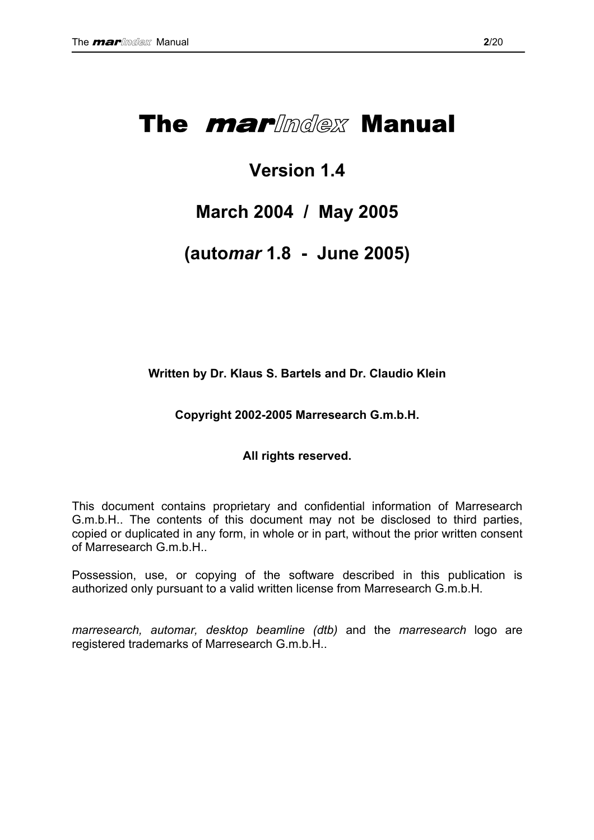# The *marlinglex* Manual

## **Version 1.4**

## **March 2004 / May 2005**

## **(auto***mar* **1.8 - June 2005)**

**Written by Dr. Klaus S. Bartels and Dr. Claudio Klein** 

**Copyright 2002-2005 Marresearch G.m.b.H.** 

### **All rights reserved.**

This document contains proprietary and confidential information of Marresearch G.m.b.H.. The contents of this document may not be disclosed to third parties, copied or duplicated in any form, in whole or in part, without the prior written consent of Marresearch G.m.b.H..

Possession, use, or copying of the software described in this publication is authorized only pursuant to a valid written license from Marresearch G.m.b.H.

*marresearch, automar, desktop beamline (dtb)* and the *marresearch* logo are registered trademarks of Marresearch G.m.b.H..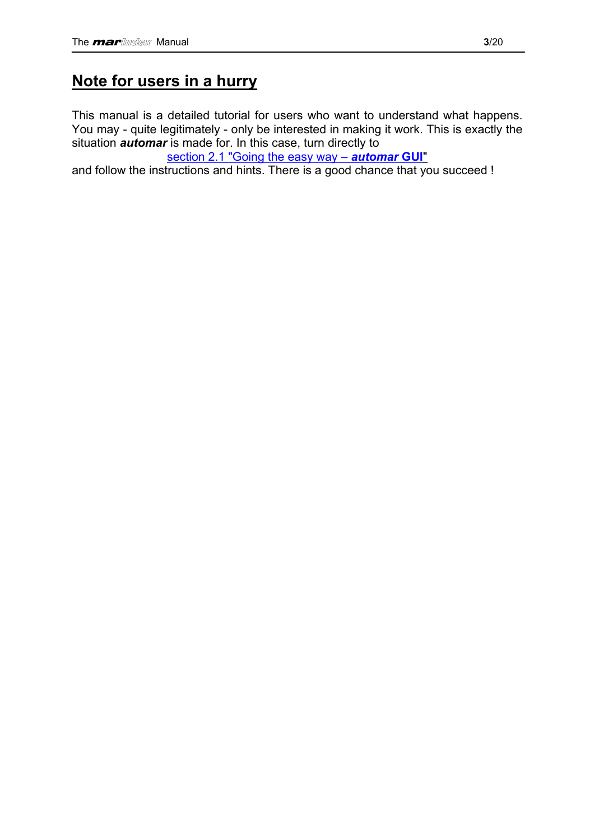## <span id="page-2-0"></span>**Note for users in a hurry**

This manual is a detailed tutorial for users who want to understand what happens. You may - quite legitimately - only be interested in making it work. This is exactly the situation *automar* is made for. In this case, turn directly to

[section 2.1 "Going the easy way –](#page-7-0) *automar* **GUI**"

and follow the instructions and hints. There is a good chance that you succeed !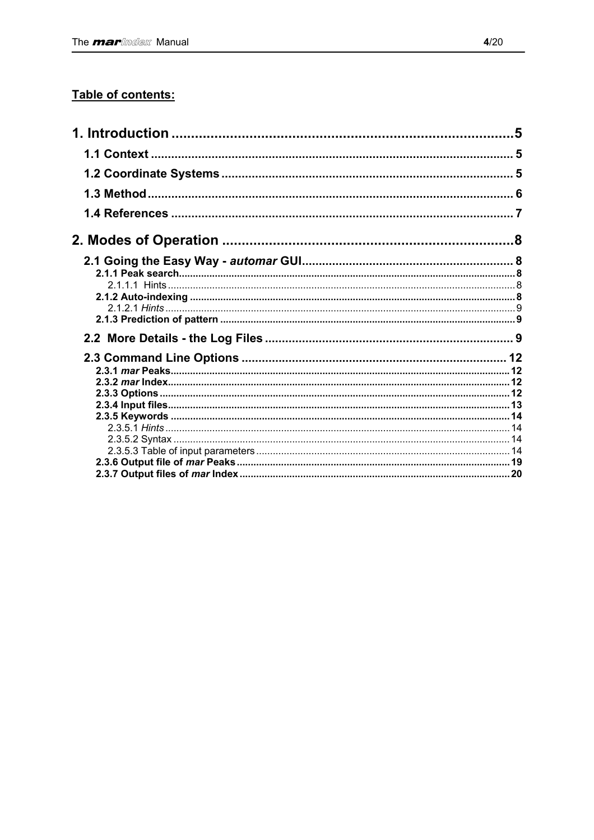### Table of contents: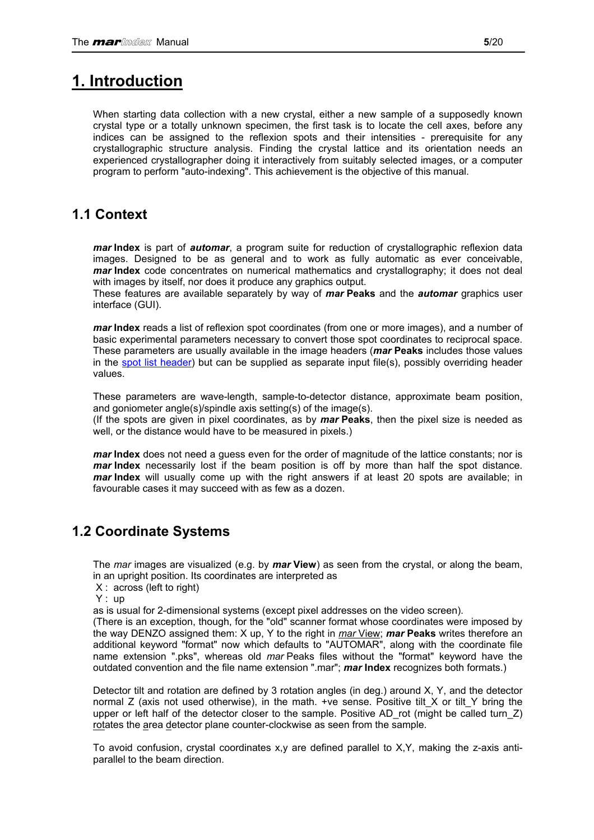## <span id="page-4-0"></span>**1. Introduction**

When starting data collection with a new crystal, either a new sample of a supposedly known crystal type or a totally unknown specimen, the first task is to locate the cell axes, before any indices can be assigned to the reflexion spots and their intensities - prerequisite for any crystallographic structure analysis. Finding the crystal lattice and its orientation needs an experienced crystallographer doing it interactively from suitably selected images, or a computer program to perform "auto-indexing". This achievement is the objective of this manual.

### **1.1 Context**

*mar* **Index** is part of *automar*, a program suite for reduction of crystallographic reflexion data images. Designed to be as general and to work as fully automatic as ever conceivable, *mar* **Index** code concentrates on numerical mathematics and crystallography; it does not deal with images by itself, nor does it produce any graphics output.

These features are available separately by way of *mar* **Peaks** and the *automar* graphics user interface (GUI).

*mar* **Index** reads a list of reflexion spot coordinates (from one or more images), and a number of basic experimental parameters necessary to convert those spot coordinates to reciprocal space. These parameters are usually available in the image headers (*mar* **Peaks** includes those values in the [spot list header\)](#page-18-0) but can be supplied as separate input file(s), possibly overriding header values.

These parameters are wave-length, sample-to-detector distance, approximate beam position, and goniometer angle(s)/spindle axis setting(s) of the image(s).

(If the spots are given in pixel coordinates, as by *mar* **Peaks**, then the pixel size is needed as well, or the distance would have to be measured in pixels.)

*mar* Index does not need a guess even for the order of magnitude of the lattice constants; nor is *mar* Index necessarily lost if the beam position is off by more than half the spot distance. *mar* **Index** will usually come up with the right answers if at least 20 spots are available; in favourable cases it may succeed with as few as a dozen.

### **1.2 Coordinate Systems**

The *mar* images are visualized (e.g. by *mar* **View**) as seen from the crystal, or along the beam, in an upright position. Its coordinates are interpreted as

X : across (left to right)

Y : up

as is usual for 2-dimensional systems (except pixel addresses on the video screen).

(There is an exception, though, for the "old" scanner format whose coordinates were imposed by the way DENZO assigned them: X up, Y to the right in *mar* View; *mar* **Peaks** writes therefore an additional keyword "format" now which defaults to "AUTOMAR", along with the coordinate file name extension ".pks", whereas old *mar* Peaks files without the "format" keyword have the outdated convention and the file name extension ".mar"; *mar* **Index** recognizes both formats.)

Detector tilt and rotation are defined by 3 rotation angles (in deg.) around X, Y, and the detector normal Z (axis not used otherwise), in the math. +ve sense. Positive tilt  $X$  or tilt  $Y$  bring the upper or left half of the detector closer to the sample. Positive AD\_rot (might be called turn\_Z) rotates the area detector plane counter-clockwise as seen from the sample.

To avoid confusion, crystal coordinates  $x, y$  are defined parallel to  $X, Y$ , making the z-axis antiparallel to the beam direction.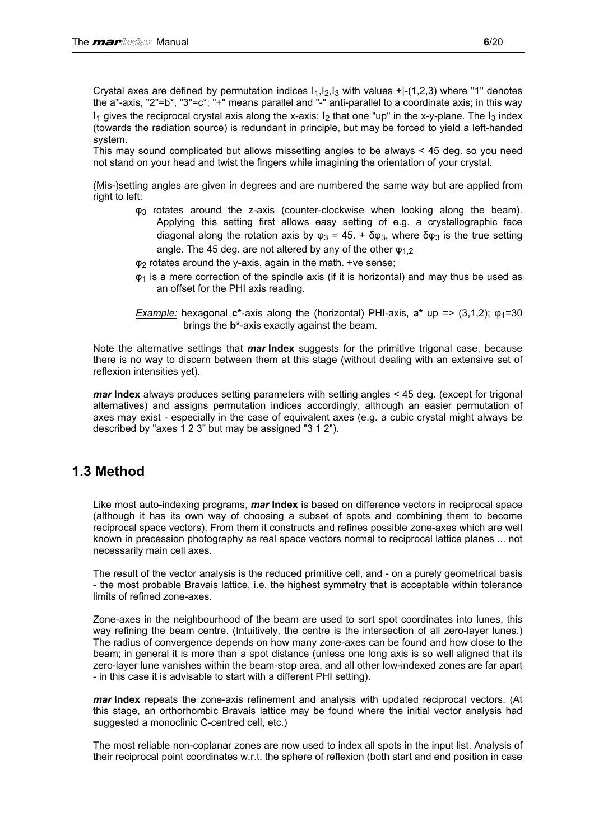<span id="page-5-0"></span>Crystal axes are defined by permutation indices  $1_1, 1_2, 1_3$  with values  $+1$ -(1,2,3) where "1" denotes the a\*-axis, "2"=b\*, "3"=c\*; "+" means parallel and "-" anti-parallel to a coordinate axis; in this way  $l_1$  gives the reciprocal crystal axis along the x-axis;  $l_2$  that one "up" in the x-y-plane. The  $l_3$  index (towards the radiation source) is redundant in principle, but may be forced to yield a left-handed system.

This may sound complicated but allows missetting angles to be always < 45 deg. so you need not stand on your head and twist the fingers while imagining the orientation of your crystal.

(Mis-)setting angles are given in degrees and are numbered the same way but are applied from right to left:

- φ3 rotates around the z-axis (counter-clockwise when looking along the beam). Applying this setting first allows easy setting of e.g. a crystallographic face diagonal along the rotation axis by  $\omega_3 = 45$ . + δ $\omega_3$ , where δ $\omega_3$  is the true setting angle. The 45 deg. are not altered by any of the other  $\varphi_1$ ,
- φ2 rotates around the y-axis, again in the math. +ve sense;
- $\varphi_1$  is a mere correction of the spindle axis (if it is horizontal) and may thus be used as an offset for the PHI axis reading.
- *Example:* hexagonal **c\***-axis along the (horizontal) PHI-axis, **a\*** up => (3,1,2); φ1=30 brings the **b\***-axis exactly against the beam.

Note the alternative settings that *mar* **Index** suggests for the primitive trigonal case, because there is no way to discern between them at this stage (without dealing with an extensive set of reflexion intensities yet).

*mar* **Index** always produces setting parameters with setting angles < 45 deg. (except for trigonal alternatives) and assigns permutation indices accordingly, although an easier permutation of axes may exist - especially in the case of equivalent axes (e.g. a cubic crystal might always be described by "axes 1 2 3" but may be assigned "3 1 2").

### **1.3 Method**

Like most auto-indexing programs, *mar* **Index** is based on difference vectors in reciprocal space (although it has its own way of choosing a subset of spots and combining them to become reciprocal space vectors). From them it constructs and refines possible zone-axes which are well known in precession photography as real space vectors normal to reciprocal lattice planes ... not necessarily main cell axes.

The result of the vector analysis is the reduced primitive cell, and - on a purely geometrical basis - the most probable Bravais lattice, i.e. the highest symmetry that is acceptable within tolerance limits of refined zone-axes.

Zone-axes in the neighbourhood of the beam are used to sort spot coordinates into lunes, this way refining the beam centre. (Intuitively, the centre is the intersection of all zero-layer lunes.) The radius of convergence depends on how many zone-axes can be found and how close to the beam; in general it is more than a spot distance (unless one long axis is so well aligned that its zero-layer lune vanishes within the beam-stop area, and all other low-indexed zones are far apart - in this case it is advisable to start with a different PHI setting).

*mar* **Index** repeats the zone-axis refinement and analysis with updated reciprocal vectors. (At this stage, an orthorhombic Bravais lattice may be found where the initial vector analysis had suggested a monoclinic C-centred cell, etc.)

The most reliable non-coplanar zones are now used to index all spots in the input list. Analysis of their reciprocal point coordinates w.r.t. the sphere of reflexion (both start and end position in case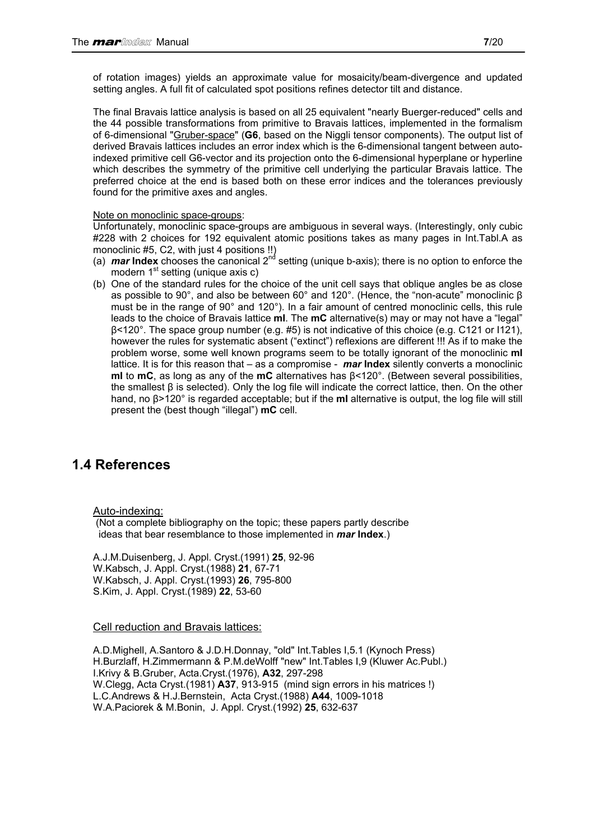<span id="page-6-0"></span>of rotation images) yields an approximate value for mosaicity/beam-divergence and updated setting angles. A full fit of calculated spot positions refines detector tilt and distance.

The final Bravais lattice analysis is based on all 25 equivalent "nearly Buerger-reduced" cells and the 44 possible transformations from primitive to Bravais lattices, implemented in the formalism of 6-dimensional "Gruber-space" (**G6**, based on the Niggli tensor components). The output list of derived Bravais lattices includes an error index which is the 6-dimensional tangent between autoindexed primitive cell G6-vector and its projection onto the 6-dimensional hyperplane or hyperline which describes the symmetry of the primitive cell underlying the particular Bravais lattice. The preferred choice at the end is based both on these error indices and the tolerances previously found for the primitive axes and angles.

#### Note on monoclinic space-groups:

Unfortunately, monoclinic space-groups are ambiguous in several ways. (Interestingly, only cubic #228 with 2 choices for 192 equivalent atomic positions takes as many pages in Int.Tabl.A as monoclinic #5, C2, with just 4 positions !!)

- (a) *mar* **Index** chooses the canonical 2nd setting (unique b-axis); there is no option to enforce the modern  $1<sup>st</sup>$  setting (unique axis c)
- (b) One of the standard rules for the choice of the unit cell says that oblique angles be as close as possible to 90°, and also be between 60° and 120°. (Hence, the "non-acute" monoclinic β must be in the range of 90° and 120°). In a fair amount of centred monoclinic cells, this rule leads to the choice of Bravais lattice **mI**. The **mC** alternative(s) may or may not have a "legal" β<120°. The space group number (e.g. #5) is not indicative of this choice (e.g. C121 or I121), however the rules for systematic absent ("extinct") reflexions are different !!! As if to make the problem worse, some well known programs seem to be totally ignorant of the monoclinic **mI** lattice. It is for this reason that – as a compromise - *mar* **Index** silently converts a monoclinic **mI** to **mC**, as long as any of the **mC** alternatives has β<120°. (Between several possibilities, the smallest β is selected). Only the log file will indicate the correct lattice, then. On the other hand, no β>120° is regarded acceptable; but if the **mI** alternative is output, the log file will still present the (best though "illegal") **mC** cell.

### **1.4 References**

Auto-indexing:

 (Not a complete bibliography on the topic; these papers partly describe ideas that bear resemblance to those implemented in *mar* **Index**.)

A.J.M.Duisenberg, J. Appl. Cryst.(1991) **25**, 92-96 W.Kabsch, J. Appl. Cryst.(1988) **21**, 67-71 W.Kabsch, J. Appl. Cryst.(1993) **26**, 795-800 S.Kim, J. Appl. Cryst.(1989) **22**, 53-60

### Cell reduction and Bravais lattices:

A.D.Mighell, A.Santoro & J.D.H.Donnay, "old" Int.Tables I,5.1 (Kynoch Press) H.Burzlaff, H.Zimmermann & P.M.deWolff "new" Int.Tables I,9 (Kluwer Ac.Publ.) I.Krivy & B.Gruber, Acta.Cryst.(1976), **A32**, 297-298 W.Clegg, Acta Cryst.(1981) **A37**, 913-915 (mind sign errors in his matrices !) L.C.Andrews & H.J.Bernstein, Acta Cryst.(1988) **A44**, 1009-1018 W.A.Paciorek & M.Bonin, J. Appl. Cryst.(1992) **25**, 632-637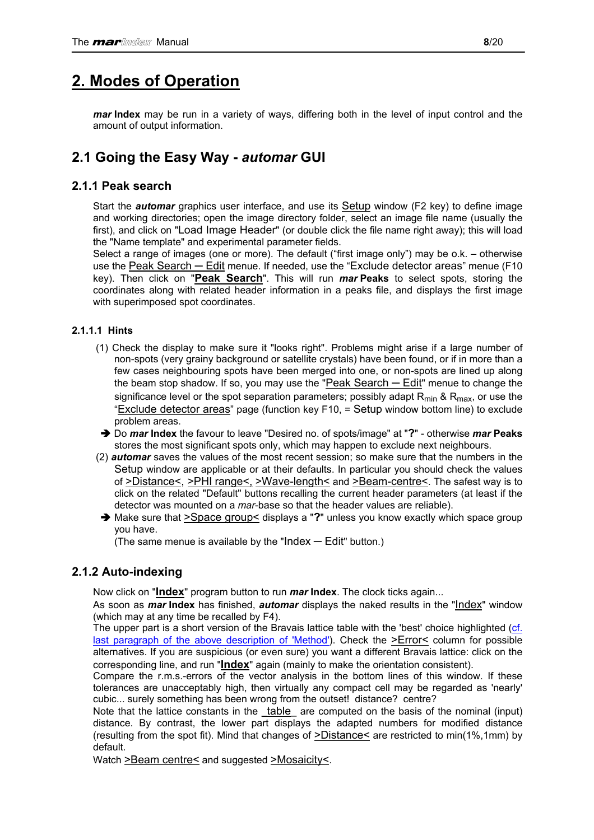## <span id="page-7-0"></span>**2. Modes of Operation**

*mar* **Index** may be run in a variety of ways, differing both in the level of input control and the amount of output information.

### **2.1 Going the Easy Way -** *automar* **GUI**

### **2.1.1 Peak search**

Start the *automar* graphics user interface, and use its Setup window (F2 key) to define image and working directories; open the image directory folder, select an image file name (usually the first), and click on "Load Image Header" (or double click the file name right away); this will load the "Name template" and experimental parameter fields.

Select a range of images (one or more). The default ("first image only") may be o.k. – otherwise use the Peak Search — Edit menue. If needed, use the "Exclude detector areas" menue (F10 key). Then click on "**Peak Search**". This will run *mar* **Peaks** to select spots, storing the coordinates along with related header information in a peaks file, and displays the first image with superimposed spot coordinates.

### **2.1.1.1 Hints**

- (1) Check the display to make sure it "looks right". Problems might arise if a large number of non-spots (very grainy background or satellite crystals) have been found, or if in more than a few cases neighbouring spots have been merged into one, or non-spots are lined up along the beam stop shadow. If so, you may use the "Peak Search — Edit" menue to change the significance level or the spot separation parameters; possibly adapt  $R_{min}$  &  $R_{max}$ , or use the "Exclude detector areas" page (function key F10, = Setup window bottom line) to exclude problem areas.
- Ä Do *mar* **Index** the favour to leave "Desired no. of spots/image" at "**?**" otherwise *mar* **Peaks**  stores the most significant spots only, which may happen to exclude next neighbours.
- (2) *automar* saves the values of the most recent session; so make sure that the numbers in the Setup window are applicable or at their defaults. In particular you should check the values of >Distance<, >PHI range<, >Wave-length< and >Beam-centre<. The safest way is to click on the related "Default" buttons recalling the current header parameters (at least if the detector was mounted on a *mar*-base so that the header values are reliable).
- Ä Make sure that >Space group< displays a "**?**" unless you know exactly which space group you have.

(The same menue is available by the "Index  $-$  Edit" button.)

### **2.1.2 Auto-indexing**

Now click on "**Index**" program button to run *mar* **Index**. The clock ticks again...

As soon as *mar* **Index** has finished, *automar* displays the naked results in the "Index" window (which may at any time be recalled by F4).

The upper part is a short version of the Bravais lattice table with the 'best' choice highlighted ([cf.](#page-5-0)  [last paragraph of the above description of 'Method'\)](#page-5-0). Check the >Error< column for possible alternatives. If you are suspicious (or even sure) you want a different Bravais lattice: click on the corresponding line, and run "**Index**" again (mainly to make the orientation consistent).

Compare the r.m.s.-errors of the vector analysis in the bottom lines of this window. If these tolerances are unacceptably high, then virtually any compact cell may be regarded as 'nearly' cubic... surely something has been wrong from the outset! distance? centre?

Note that the lattice constants in the **table** are computed on the basis of the nominal (input) distance. By contrast, the lower part displays the adapted numbers for modified distance (resulting from the spot fit). Mind that changes of >Distance< are restricted to min(1%,1mm) by default.

Watch >Beam centre< and suggested >Mosaicity<.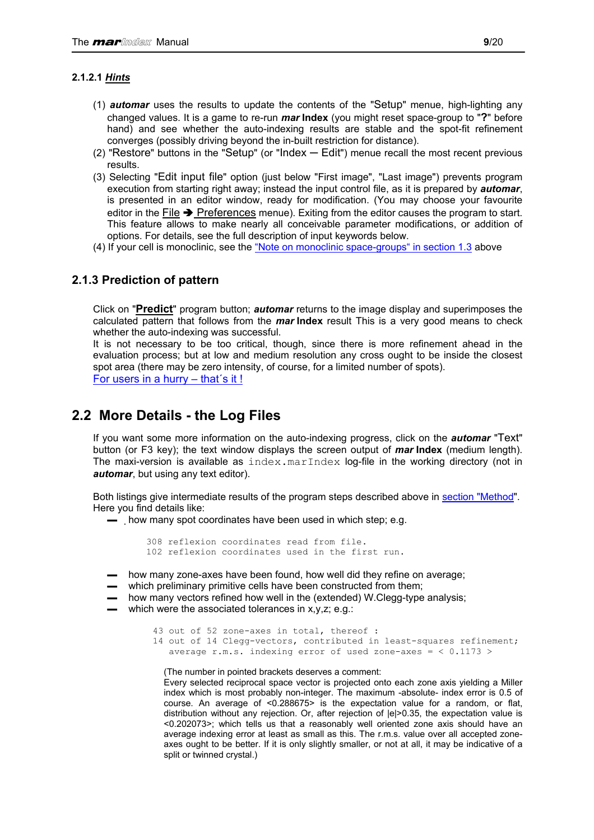### <span id="page-8-0"></span>**2.1.2.1** *Hints*

- (1) *automar* uses the results to update the contents of the "Setup" menue, high-lighting any changed values. It is a game to re-run *mar* **Index** (you might reset space-group to "**?**" before hand) and see whether the auto-indexing results are stable and the spot-fit refinement converges (possibly driving beyond the in-built restriction for distance).
- $(2)$  "Restore" buttons in the "Setup" (or "Index  $-$  Edit") menue recall the most recent previous results.
- (3) Selecting "Edit input file" option (just below "First image", "Last image") prevents program execution from starting right away; instead the input control file, as it is prepared by *automar*, is presented in an editor window, ready for modification. (You may choose your favourite editor in the File  $\rightarrow$  Preferences menue). Exiting from the editor causes the program to start. This feature allows to make nearly all conceivable parameter modifications, or addition of options. For details, see the full description of input keywords below.
- (4) If your cell is monoclinic, see the ["Note on monoclinic space-groups" in section 1.3](#page-6-0) above

### **2.1.3 Prediction of pattern**

Click on "**Predict**" program button; *automar* returns to the image display and superimposes the calculated pattern that follows from the *mar* **Index** result This is a very good means to check whether the auto-indexing was successful.

It is not necessary to be too critical, though, since there is more refinement ahead in the evaluation process; but at low and medium resolution any cross ought to be inside the closest spot area (there may be zero intensity, of course, for a limited number of spots). [For users in a hurry – that´s it !](#page-2-0)

### **2.2 More Details - the Log Files**

If you want some more information on the auto-indexing progress, click on the *automar* "Text" button (or F3 key); the text window displays the screen output of *mar* **Index** (medium length). The maxi-version is available as  $index.maxIndex$   $log$ -file in the working directory (not in *automar*, but using any text editor).

Both listings give intermediate results of the program steps described above in [section "Method"](#page-5-0). Here you find details like:

▬ how many spot coordinates have been used in which step; e.g.

```
 308 reflexion coordinates read from file. 
 102 reflexion coordinates used in the first run.
```
- how many zone-axes have been found, how well did they refine on average;
- which preliminary primitive cells have been constructed from them;
- how many vectors refined how well in the (extended) W.Clegg-type analysis;
- ▬ which were the associated tolerances in x,y,z; e.g.:

```
 43 out of 52 zone-axes in total, thereof : 
14 out of 14 Clegg-vectors, contributed in least-squares refinement;
  average r.m.s. indexing error of used zone-axes = < 0.1173 >
```
(The number in pointed brackets deserves a comment:

Every selected reciprocal space vector is projected onto each zone axis yielding a Miller index which is most probably non-integer. The maximum -absolute- index error is 0.5 of course. An average of <0.288675> is the expectation value for a random, or flat, distribution without any rejection. Or, after rejection of |e|>0.35, the expectation value is <0.202073>; which tells us that a reasonably well oriented zone axis should have an average indexing error at least as small as this. The r.m.s. value over all accepted zoneaxes ought to be better. If it is only slightly smaller, or not at all, it may be indicative of a split or twinned crystal.)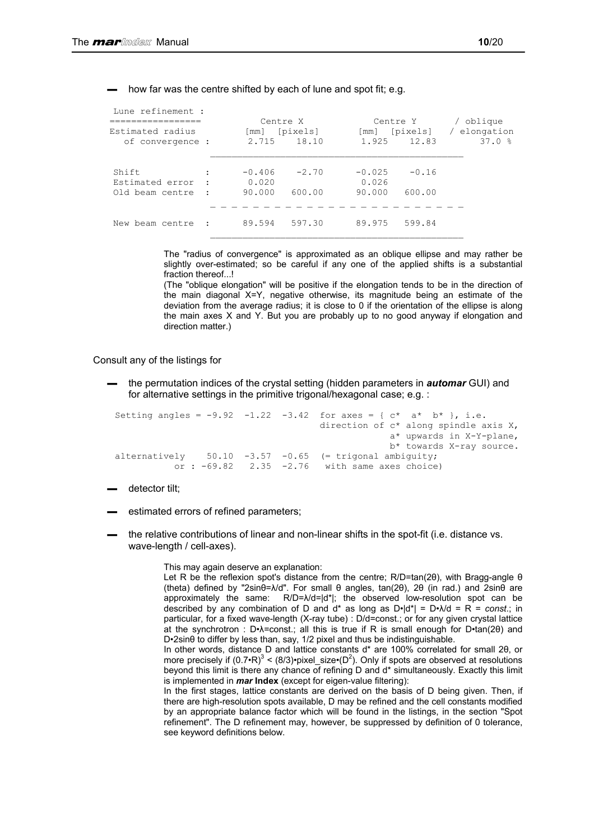#### how far was the centre shifted by each of lune and spot fit; e.g.

| Lune refinement :<br>=============<br>Estimated radius<br>of convergence : |           | Centre X<br>[mm]<br>2.715 | [pixels]<br>18.10 | $\lceil$ mm $\rceil$<br>1.925 | Centre Y<br>[pixels]<br>12.83 | / oblique<br>elongation<br>37.0% |
|----------------------------------------------------------------------------|-----------|---------------------------|-------------------|-------------------------------|-------------------------------|----------------------------------|
| Shift                                                                      | ٠         | $-0.406$                  | $-2.70$           | $-0.025$                      | $-0.16$                       |                                  |
| Estimated error<br>Old beam centre                                         |           | 0.020<br>90.000           | 600.00            | 0.026<br>90.000               | 600.00                        |                                  |
| New beam centre                                                            | $\cdot$ . | 89.594                    | 597.30            | 89.975                        | 599.84                        |                                  |

The "radius of convergence" is approximated as an oblique ellipse and may rather be slightly over-estimated; so be careful if any one of the applied shifts is a substantial fraction thereof...!

(The "oblique elongation" will be positive if the elongation tends to be in the direction of the main diagonal X=Y, negative otherwise, its magnitude being an estimate of the deviation from the average radius; it is close to 0 if the orientation of the ellipse is along the main axes X and Y. But you are probably up to no good anyway if elongation and direction matter.)

Consult any of the listings for

▬ the permutation indices of the crystal setting (hidden parameters in *automar* GUI) and for alternative settings in the primitive trigonal/hexagonal case; e.g. :

```
Setting angles = -9.92 -1.22 -3.42 for axes = { c* a* b* }, i.e.
                                       direction of c* along spindle axis X, 
                                                    a* upwards in X-Y-plane, 
b* towards X-ray source.<br>alternatively 50.10 -3.57 -0.65 (= trigonal ambiguity;
                 50.10 -3.57 -0.65 (= trigonal ambiguity;
           or : -69.82 2.35 -2.76 with same axes choice)
```
- ▬ detector tilt;
- estimated errors of refined parameters;
- ▬ the relative contributions of linear and non-linear shifts in the spot-fit (i.e. distance vs. wave-length / cell-axes).

This may again deserve an explanation:

Let R be the reflexion spot's distance from the centre; R/D=tan(2θ), with Bragg-angle θ (theta) defined by "2sinθ=λ/d". For small θ angles, tan(2θ), 2θ (in rad.) and 2sinθ are approximately the same: R/D=λ/d=|d\*|; the observed low-resolution spot can be described by any combination of D and  $d^*$  as long as  $D \cdot |d^*| = D \cdot \mathcal{N}d = R = const.$ ; in particular, for a fixed wave-length (X-ray tube) : D/d=const.; or for any given crystal lattice at the synchrotron : D•λ=const.; all this is true if R is small enough for D•tan(2θ) and D•2sinθ to differ by less than, say, 1/2 pixel and thus be indistinguishable.

In other words, distance D and lattice constants d\* are 100% correlated for small 2θ, or more precisely if  $(0.7 \cdot R)^3 < (8/3) \cdot$ pixel\_size $\cdot (D^2)$ . Only if spots are observed at resolutions beyond this limit is there any chance of refining D and d\* simultaneously. Exactly this limit is implemented in *mar* **Index** (except for eigen-value filtering):

In the first stages, lattice constants are derived on the basis of D being given. Then, if there are high-resolution spots available, D may be refined and the cell constants modified by an appropriate balance factor which will be found in the listings, in the section "Spot refinement". The D refinement may, however, be suppressed by definition of 0 tolerance, see keyword definitions below.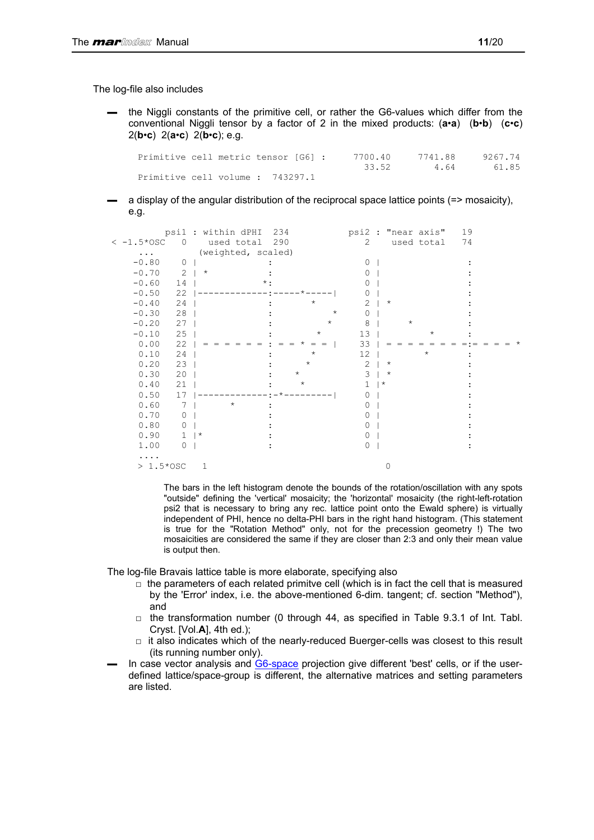The log-file also includes

▬ the Niggli constants of the primitive cell, or rather the G6-values which differ from the conventional Niggli tensor by a factor of 2 in the mixed products: (**a**•**a**) (**b**•**b**) (**c**•**c**) 2(**b**•**c**) 2(**a**•**c**) 2(**b**•**c**); e.g.

 Primitive cell metric tensor [G6] : 7700.40 7741.88 9267.74 33.52 4.64 61.85 Primitive cell volume : 743297.1

a display of the angular distribution of the reciprocal space lattice points (=> mosaicity), e.g.

|                               | psil : within dPHI | 234        |                | psi2 : "near axis" | 19 |
|-------------------------------|--------------------|------------|----------------|--------------------|----|
| $<-1.5*0SC$<br>$\overline{0}$ | used total 290     |            | 2              | used total         | 74 |
| $\cdots$                      | (weighted, scaled) |            |                |                    |    |
| $-0.80$<br>$\mathbf{0}$       |                    |            | $\Omega$       |                    |    |
| 2<br>$-0.70$                  | $\star$            |            | $\bigcap$      |                    |    |
| 14<br>$-0.60$                 |                    | $\star$ .  |                |                    |    |
| 22<br>$-0.50$                 |                    |            | $\bigcap$      |                    |    |
| $-0.40$<br>24                 |                    | $\star$    | $\mathcal{L}$  | $^\star$           |    |
| $-0.30$<br>28                 |                    | $^{\star}$ | $\Omega$       |                    |    |
| $-0.20$<br>27                 |                    | $^{\star}$ | 8              | $\star$            |    |
| 25<br>$-0.10$                 |                    | $^\star$   | 13             | $^\star$           |    |
| 0.00<br>22                    |                    | $=$ $=$    | 33             |                    |    |
| 0.10<br>24                    |                    | $^\star$   | 12             | $^{\star}$         |    |
| 0.20<br>23                    |                    | $^\star$   | $\overline{2}$ | $^\star$           |    |
| 0.30<br>20                    |                    | $\star$    | 3              | $^\star$           |    |
| 0.40<br>21                    |                    | $\star$    | $^\star$       |                    |    |
| 0.50<br>17                    |                    |            | ∩              |                    |    |
| 0.60<br>7                     | $^{\star}$         |            | O              |                    |    |
| 0.70<br>$\mathbf 0$           |                    |            |                |                    |    |
| 0.80<br>0                     |                    |            | $\bigcap$      |                    |    |
| 0.90<br>$\mathbf{1}$          | $\star$            |            | O              |                    |    |
| 1.00<br>$\mathbf{0}$          |                    |            | $\Omega$       |                    |    |
| $\cdots$                      |                    |            |                |                    |    |
| $> 1.5*$ OSC                  | 1                  |            |                | 0                  |    |

The bars in the left histogram denote the bounds of the rotation/oscillation with any spots "outside" defining the 'vertical' mosaicity; the 'horizontal' mosaicity (the right-left-rotation psi2 that is necessary to bring any rec. lattice point onto the Ewald sphere) is virtually independent of PHI, hence no delta-PHI bars in the right hand histogram. (This statement is true for the "Rotation Method" only, not for the precession geometry !) The two mosaicities are considered the same if they are closer than 2:3 and only their mean value is output then.

The log-file Bravais lattice table is more elaborate, specifying also

- $\Box$  the parameters of each related primitve cell (which is in fact the cell that is measured by the 'Error' index, i.e. the above-mentioned 6-dim. tangent; cf. section "Method"), and
- $\Box$  the transformation number (0 through 44, as specified in Table 9.3.1 of Int. Tabl. Cryst. [Vol.**A**], 4th ed.);
- $\Box$  it also indicates which of the nearly-reduced Buerger-cells was closest to this result (its running number only).
- In case vector analysis and [G6-space](#page-6-0) projection give different 'best' cells, or if the userdefined lattice/space-group is different, the alternative matrices and setting parameters are listed.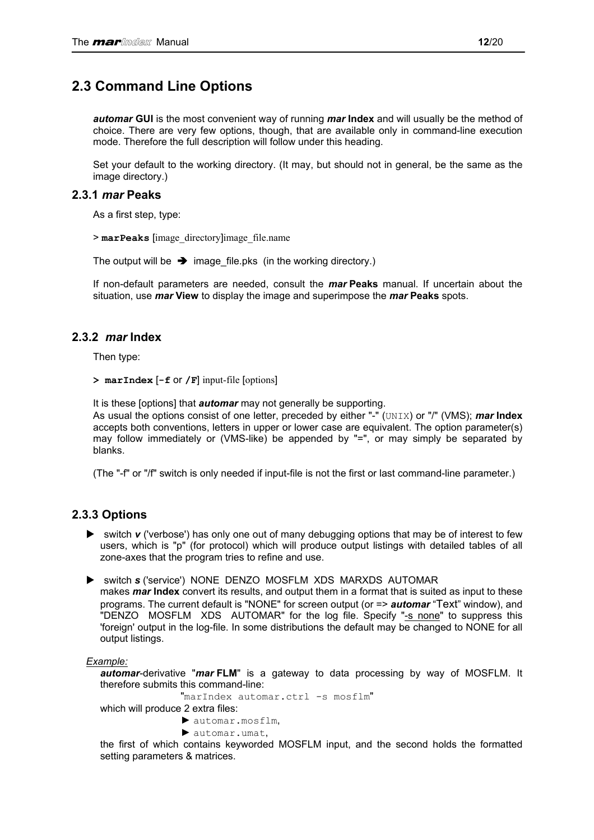### <span id="page-11-0"></span>**2.3 Command Line Options**

*automar* **GUI** is the most convenient way of running *mar* **Index** and will usually be the method of choice. There are very few options, though, that are available only in command-line execution mode. Therefore the full description will follow under this heading.

Set your default to the working directory. (It may, but should not in general, be the same as the image directory.)

### **2.3.1** *mar* **Peaks**

As a first step, type:

> **marPeaks** [image\_directory]image\_file.name

The output will be  $\rightarrow$  image file.pks (in the working directory.)

If non-default parameters are needed, consult the *mar* **Peaks** manual. If uncertain about the situation, use *mar* **View** to display the image and superimpose the *mar* **Peaks** spots.

### **2.3.2** *mar* **Index**

Then type:

**> marIndex** [**-f** or **/F**] input-file [options]

It is these [options] that *automar* may not generally be supporting.

As usual the options consist of one letter, preceded by either "-" (UNIX) or "/" (VMS); *mar* **Index** accepts both conventions, letters in upper or lower case are equivalent. The option parameter(s) may follow immediately or (VMS-like) be appended by "=", or may simply be separated by blanks.

(The "-f" or "/f" switch is only needed if input-file is not the first or last command-line parameter.)

### **2.3.3 Options**

- ► switch *v* ('verbose') has only one out of many debugging options that may be of interest to few users, which is "p" (for protocol) which will produce output listings with detailed tables of all zone-axes that the program tries to refine and use.
- ▶ switch *s* ('service') NONE DENZO MOSFLM XDS MARXDS AUTOMAR makes *mar* **Index** convert its results, and output them in a format that is suited as input to these programs. The current default is "NONE" for screen output (or => *automar* "Text" window), and "DENZO MOSFLM XDS AUTOMAR" for the log file. Specify "-s none" to suppress this 'foreign' output in the log-file. In some distributions the default may be changed to NONE for all output listings.

### *Example:*

*automar*-derivative "*mar* **FLM**" is a gateway to data processing by way of MOSFLM. It therefore submits this command-line:

"marIndex automar.ctrl -s mosflm"

which will produce 2 extra files:

- ► automar.mosflm,
- ► automar.umat,

the first of which contains keyworded MOSFLM input, and the second holds the formatted setting parameters & matrices.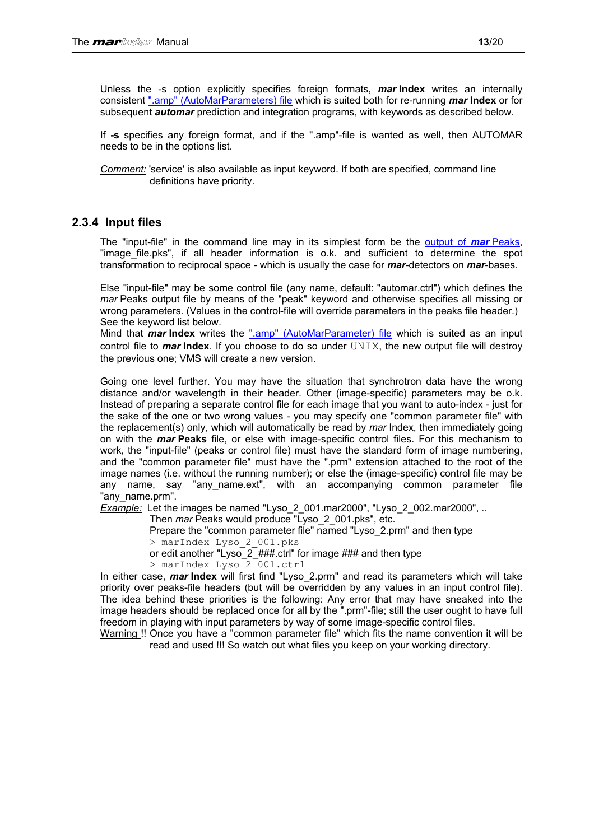<span id="page-12-0"></span>Unless the -s option explicitly specifies foreign formats, *mar* **Index** writes an internally consistent [".amp" \(AutoMarParameters\) file](#page-19-0) which is suited both for re-running *mar* **Index** or for subsequent *automar* prediction and integration programs, with keywords as described below.

If **-s** specifies any foreign format, and if the ".amp"-file is wanted as well, then AUTOMAR needs to be in the options list.

*Comment:* 'service' is also available as input keyword. If both are specified, command line definitions have priority.

### **2.3.4 Input files**

The "input-file" in the command line may in its simplest form be the [output of](#page-18-0) *mar* Peaks, "image\_file.pks", if all header information is o.k. and sufficient to determine the spot transformation to reciprocal space - which is usually the case for *mar*-detectors on *mar*-bases.

Else "input-file" may be some control file (any name, default: "automar.ctrl") which defines the *mar* Peaks output file by means of the "peak" keyword and otherwise specifies all missing or wrong parameters. (Values in the control-file will override parameters in the peaks file header.) See the keyword list below.

Mind that *mar* **Index** writes the [".amp" \(AutoMarParameter\) file](#page-19-0) which is suited as an input control file to *mar* **Index**. If you choose to do so under UNIX, the new output file will destroy the previous one; VMS will create a new version.

Going one level further. You may have the situation that synchrotron data have the wrong distance and/or wavelength in their header. Other (image-specific) parameters may be o.k. Instead of preparing a separate control file for each image that you want to auto-index - just for the sake of the one or two wrong values - you may specify one "common parameter file" with the replacement(s) only, which will automatically be read by *mar* Index, then immediately going on with the *mar* **Peaks** file, or else with image-specific control files. For this mechanism to work, the "input-file" (peaks or control file) must have the standard form of image numbering, and the "common parameter file" must have the ".prm" extension attached to the root of the image names (i.e. without the running number); or else the (image-specific) control file may be any name, say "any\_name.ext", with an accompanying common parameter file "any\_name.prm".

*Example:* Let the images be named "Lyso\_2\_001.mar2000", "Lyso\_2\_002.mar2000", ..

Then *mar* Peaks would produce "Lyso\_2\_001.pks", etc.

Prepare the "common parameter file" named "Lyso\_2.prm" and then type

> marIndex Lyso\_2\_001.pks

- or edit another "Lyso  $2$  ###.ctrl" for image ### and then type
- > marIndex Lyso\_2\_001.ctrl

In either case, *mar* **Index** will first find "Lyso\_2.prm" and read its parameters which will take priority over peaks-file headers (but will be overridden by any values in an input control file). The idea behind these priorities is the following: Any error that may have sneaked into the image headers should be replaced once for all by the ".prm"-file; still the user ought to have full freedom in playing with input parameters by way of some image-specific control files.

Warning !! Once you have a "common parameter file" which fits the name convention it will be read and used !!! So watch out what files you keep on your working directory.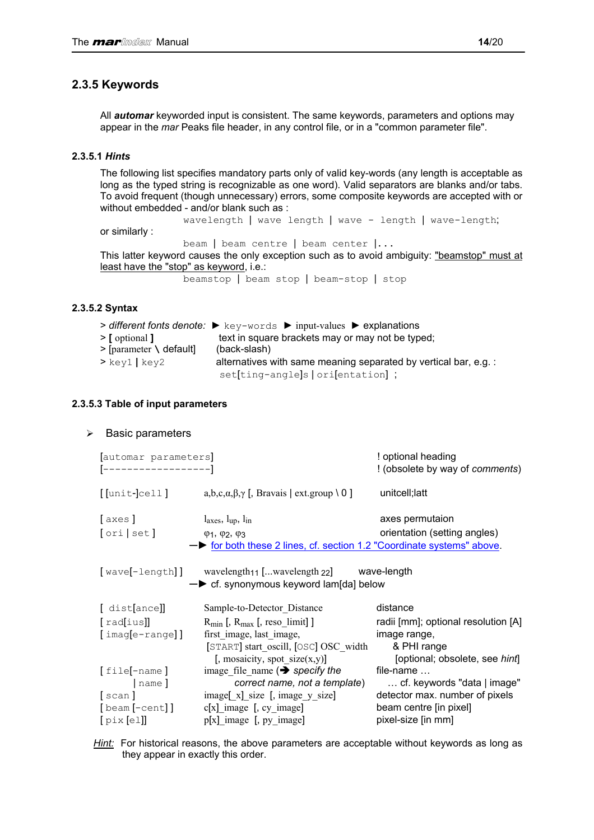### <span id="page-13-0"></span>**2.3.5 Keywords**

All *automar* keyworded input is consistent. The same keywords, parameters and options may appear in the *mar* Peaks file header, in any control file, or in a "common parameter file".

### **2.3.5.1** *Hints*

The following list specifies mandatory parts only of valid key-words (any length is acceptable as long as the typed string is recognizable as one word). Valid separators are blanks and/or tabs. To avoid frequent (though unnecessary) errors, some composite keywords are accepted with or without embedded - and/or blank such as :

wavelength | wave length | wave - length | wave-length;

or similarly :

beam | beam centre | beam center |...

This latter keyword causes the only exception such as to avoid ambiguity: "beamstop" must at least have the "stop" as keyword, i.e.:

beamstop | beam stop | beam-stop | stop

### **2.3.5.2 Syntax**

|                            | $\triangleright$ different fonts denote: $\triangleright$ key-words $\triangleright$ input-values $\triangleright$ explanations |
|----------------------------|---------------------------------------------------------------------------------------------------------------------------------|
| $\geq$ [ optional ]        | text in square brackets may or may not be typed;                                                                                |
| $>$ [parameter \ default]  | (back-slash)                                                                                                                    |
| $>\kappa$ ey $1$   key $2$ | alternatives with same meaning separated by vertical bar, e.g.:                                                                 |
|                            | set[ting-angle]s   ori[entation];                                                                                               |

### **2.3.5.3 Table of input parameters**

#### $\triangleright$  Basic parameters

| [automar parameters]<br>[------------------] |                                                                                                                                                      | ! optional heading<br>! (obsolete by way of comments)              |
|----------------------------------------------|------------------------------------------------------------------------------------------------------------------------------------------------------|--------------------------------------------------------------------|
| [[unit-]cell]                                | a,b,c, $\alpha$ , $\beta$ , $\gamma$ [, Bravais   ext.group \ 0 ]                                                                                    | unitcell; latt                                                     |
| [axes]<br>[ori   set]                        | $l_{axes}$ , $l_{up}$ , $l_{in}$<br>$\varphi_1$ , $\varphi_2$ , $\varphi_3$<br>- for both these 2 lines, cf. section 1.2 "Coordinate systems" above. | axes permutaion<br>orientation (setting angles)                    |
|                                              | [wave[-length]] wavelength <sub>11</sub> [wavelength 22] wave-length<br>$\rightarrow$ cf. synonymous keyword lam[da] below                           |                                                                    |
| [ dist[ance]]                                | Sample-to-Detector Distance                                                                                                                          | distance                                                           |
| [rad[ius]]<br>$[image-range]$ ]              | $R_{min}$ [, $R_{max}$ [, reso limit]]<br>first image, last image,                                                                                   | radii [mm]; optional resolution [A]<br>image range,                |
|                                              | [START] start oscill, [OSC] OSC width<br>[, mosaicity, spot size $(x,y)$ ]                                                                           | & PHI range<br>[optional; obsolete, see hint]<br>file-name $\dots$ |
| [file[-name]<br>name]                        | image file name $\implies$ specify the<br>correct name, not a template)                                                                              | cf. keywords "data   image"                                        |
| [scan]                                       | image [x] size [, image y size]                                                                                                                      | detector max. number of pixels                                     |
| [beam [-cent]]                               | $c[x]$ image [, cy_image]                                                                                                                            | beam centre [in pixel]                                             |
| [pix[e1]]                                    | $p[x]$ image [, $py$ image]                                                                                                                          | pixel-size [in mm]                                                 |

*Hint:* For historical reasons, the above parameters are acceptable without keywords as long as they appear in exactly this order.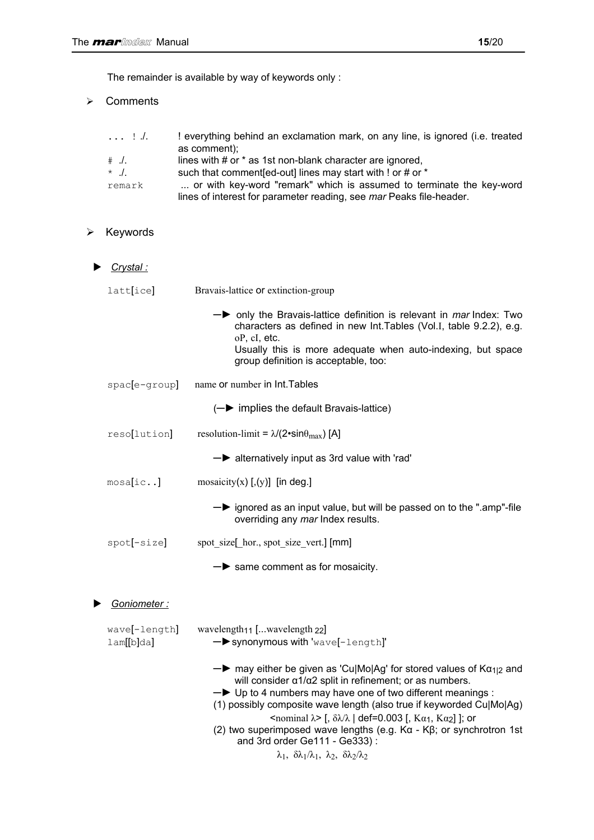¾ Comments

|          | ! everything behind an exclamation mark, on any line, is ignored (i.e. treated |
|----------|--------------------------------------------------------------------------------|
|          | as comment);                                                                   |
| $\#$ ./. | lines with # or * as 1st non-blank character are ignored,                      |
| $\star$  | such that comment [ed-out] lines may start with ! or # or *                    |
| remark   | or with key-word "remark" which is assumed to terminate the key-word           |
|          | lines of interest for parameter reading, see mar Peaks file-header.            |

### $\triangleright$  Keywords

|   | <u>Crystal :</u>                   |                                                                                                                                                                                                                                                                                                                                                                                                                                                                                                                                                                                                                                                                               |
|---|------------------------------------|-------------------------------------------------------------------------------------------------------------------------------------------------------------------------------------------------------------------------------------------------------------------------------------------------------------------------------------------------------------------------------------------------------------------------------------------------------------------------------------------------------------------------------------------------------------------------------------------------------------------------------------------------------------------------------|
|   | latt[ice]                          | Bravais-lattice or extinction-group                                                                                                                                                                                                                                                                                                                                                                                                                                                                                                                                                                                                                                           |
|   |                                    | $\rightarrow$ only the Bravais-lattice definition is relevant in <i>mar</i> Index: Two<br>characters as defined in new Int. Tables (Vol.I, table 9.2.2), e.g.<br>oP, cI, etc.<br>Usually this is more adequate when auto-indexing, but space<br>group definition is acceptable, too:                                                                                                                                                                                                                                                                                                                                                                                          |
|   | spac[e-group]                      | name or number in Int. Tables                                                                                                                                                                                                                                                                                                                                                                                                                                                                                                                                                                                                                                                 |
|   |                                    | $(-\blacktriangleright$ implies the default Bravais-lattice)                                                                                                                                                                                                                                                                                                                                                                                                                                                                                                                                                                                                                  |
|   | reso[lution]                       | resolution-limit = $\lambda$ /(2•sin $\theta_{\text{max}}$ ) [A]                                                                                                                                                                                                                                                                                                                                                                                                                                                                                                                                                                                                              |
|   |                                    | $\rightarrow$ alternatively input as 3rd value with 'rad'                                                                                                                                                                                                                                                                                                                                                                                                                                                                                                                                                                                                                     |
|   | mosa[ic]                           | mosaicity(x) $[, (y)]$ [in deg.]                                                                                                                                                                                                                                                                                                                                                                                                                                                                                                                                                                                                                                              |
|   |                                    | $\rightarrow$ ignored as an input value, but will be passed on to the ".amp"-file<br>overriding any mar Index results.                                                                                                                                                                                                                                                                                                                                                                                                                                                                                                                                                        |
|   | spot[-size]                        | spot_size[_hor., spot_size_vert.] [mm]                                                                                                                                                                                                                                                                                                                                                                                                                                                                                                                                                                                                                                        |
|   |                                    | $\rightarrow$ same comment as for mosaicity.                                                                                                                                                                                                                                                                                                                                                                                                                                                                                                                                                                                                                                  |
| ▶ | Goniometer :                       |                                                                                                                                                                                                                                                                                                                                                                                                                                                                                                                                                                                                                                                                               |
|   | wave[-length]<br>$l$ am $[[b]$ da] | wavelength <sub>11</sub> [wavelength <sub>22</sub> ]<br>- synonymous with 'wave[-length]'                                                                                                                                                                                                                                                                                                                                                                                                                                                                                                                                                                                     |
|   |                                    | $\rightarrow$ may either be given as 'Cu Mo Ag' for stored values of K $\alpha_{1/2}$ and<br>will consider $\alpha$ 1/ $\alpha$ 2 split in refinement; or as numbers.<br>-> Up to 4 numbers may have one of two different meanings :<br>(1) possibly composite wave length (also true if keyworded Cu Mo Ag)<br>$\epsilon$ <nominal λ=""> [, δλ/λ   def=0.003 [, Kα<sub>1</sub>, Kα<sub>2</sub>]]; or<br/>(2) two superimposed wave lengths (e.g. <math>Ka - K\beta</math>; or synchrotron 1st<br/>and 3rd order Ge111 - Ge333):<br/><math>\lambda_1</math>, <math>\delta\lambda_1/\lambda_1</math>, <math>\lambda_2</math>, <math>\delta\lambda_2/\lambda_2</math></nominal> |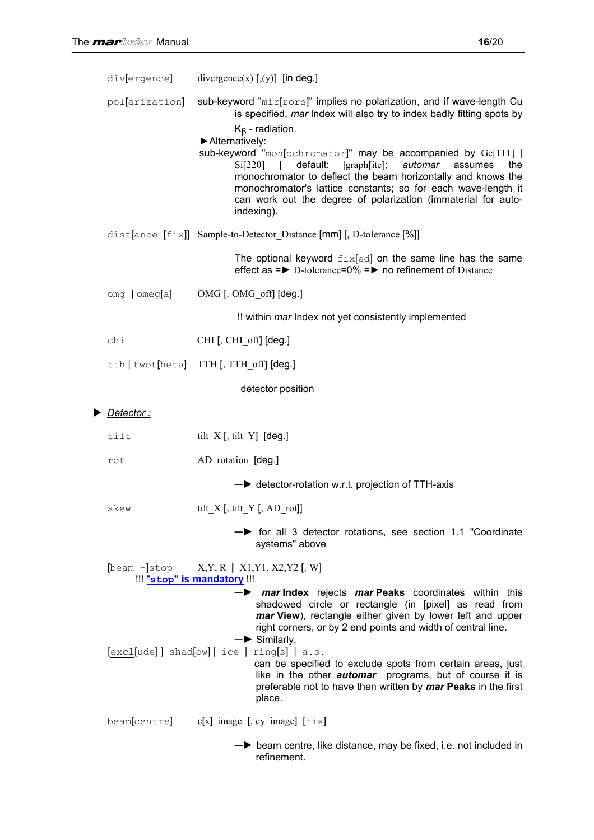| div[ergence]      | divergence(x) $[$ ,(y)] [in deg.]                                                                                                                                                                                                                                                                                                                                                                                                                                                                                                                            |
|-------------------|--------------------------------------------------------------------------------------------------------------------------------------------------------------------------------------------------------------------------------------------------------------------------------------------------------------------------------------------------------------------------------------------------------------------------------------------------------------------------------------------------------------------------------------------------------------|
| pol[arization]    | sub-keyword "mir[rors]" implies no polarization, and if wave-length Cu<br>is specified, mar Index will also try to index badly fitting spots by<br>$K_{\beta}$ - radiation.<br>Alternatively:<br>sub-keyword "mon[ochromator]" may be accompanied by Ge[111]  <br>Si[220]<br>default:<br> graph[ite];<br>automar<br>assumes<br>$\Box$<br>the<br>monochromator to deflect the beam horizontally and knows the<br>monochromator's lattice constants; so for each wave-length it<br>can work out the degree of polarization (immaterial for auto-<br>indexing). |
|                   | dist[ance [fix]] Sample-to-Detector_Distance [mm] [, D-tolerance [%]]                                                                                                                                                                                                                                                                                                                                                                                                                                                                                        |
|                   | The optional keyword $fix[ed]$ on the same line has the same<br>effect as $=$ $\triangleright$ D-tolerance=0% $=$ $\triangleright$ no refinement of Distance                                                                                                                                                                                                                                                                                                                                                                                                 |
| $omg$   $omeg[a]$ | OMG [, OMG_off] [deg.]                                                                                                                                                                                                                                                                                                                                                                                                                                                                                                                                       |
|                   | !! within mar Index not yet consistently implemented                                                                                                                                                                                                                                                                                                                                                                                                                                                                                                         |
| chi               | CHI [, CHI_off] [deg.]                                                                                                                                                                                                                                                                                                                                                                                                                                                                                                                                       |
|                   | tth   twot[heta] TTH [, TTH_off] [deg.]                                                                                                                                                                                                                                                                                                                                                                                                                                                                                                                      |
|                   | detector position                                                                                                                                                                                                                                                                                                                                                                                                                                                                                                                                            |
| Detector :        |                                                                                                                                                                                                                                                                                                                                                                                                                                                                                                                                                              |
| tilt              | tilt_X $[$ , tilt_Y] $[$ deg.]                                                                                                                                                                                                                                                                                                                                                                                                                                                                                                                               |
| rot               | AD_rotation [deg.]                                                                                                                                                                                                                                                                                                                                                                                                                                                                                                                                           |
|                   | - detector-rotation w.r.t. projection of TTH-axis                                                                                                                                                                                                                                                                                                                                                                                                                                                                                                            |
| skew              | tilt_X $[$ , tilt_Y $[$ , AD_rot]]                                                                                                                                                                                                                                                                                                                                                                                                                                                                                                                           |
|                   | $\rightarrow$ for all 3 detector rotations, see section 1.1 "Coordinate<br>systems" above                                                                                                                                                                                                                                                                                                                                                                                                                                                                    |
|                   | [beam -]stop X, Y, R   X1, Y1, X2, Y2 [, W]<br>!!! "stop" is mandatory !!!                                                                                                                                                                                                                                                                                                                                                                                                                                                                                   |
|                   | $\rightarrow$ mar Index rejects mar Peaks coordinates within this<br>shadowed circle or rectangle (in [pixel] as read from<br>mar View), rectangle either given by lower left and upper<br>right corners, or by 2 end points and width of central line.<br>$\rightarrow$ Similarly,<br>$[excl[ude]] shad[ow]   ice   ring[s]   a.s.$<br>can be specified to exclude spots from certain areas, just<br>like in the other <i>automar</i> programs, but of course it is<br>preferable not to have then written by mar Peaks in the first<br>place.              |
| beam[centre]      | $c[x]$ image [, cy_image] [ $fix$ ]                                                                                                                                                                                                                                                                                                                                                                                                                                                                                                                          |
|                   |                                                                                                                                                                                                                                                                                                                                                                                                                                                                                                                                                              |

─► beam centre, like distance, may be fixed, i.e. not included in refinement.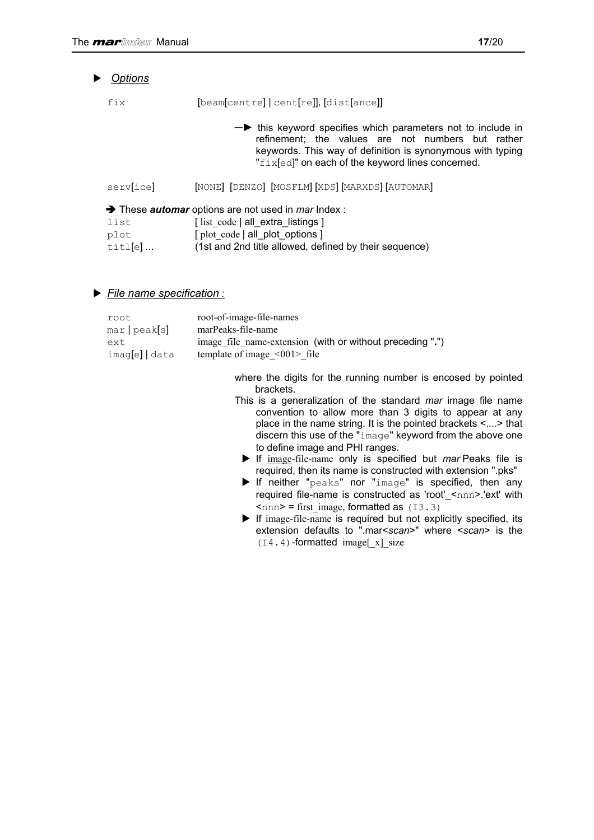| ▶ | <b>Options</b>                    |                                                                                                                                                                                                                                               |
|---|-----------------------------------|-----------------------------------------------------------------------------------------------------------------------------------------------------------------------------------------------------------------------------------------------|
|   | fix                               | [beam[centre] cent[re]], [dist[ance]]                                                                                                                                                                                                         |
|   |                                   | $\rightarrow$ this keyword specifies which parameters not to include in<br>refinement: the values are not numbers but rather<br>keywords. This way of definition is synonymous with typing<br>"fixed" on each of the keyword lines concerned. |
|   | serv[ice]                         | [NONE] [DENZO] [MOSFLM] [XDS] [MARXDS] [AUTOMAR]                                                                                                                                                                                              |
|   | list<br>plot<br>$\text{tilt}$ [e] | $\rightarrow$ These <i>automar</i> options are not used in <i>mar</i> Index :<br>[list code   all extra listings ]<br>[plot code   all plot options ]<br>(1st and 2nd title allowed, defined by their sequence)                               |

### *File name specification :*

| root         | root-of-image-file-names                                  |
|--------------|-----------------------------------------------------------|
| mar peak[s]  | marPeaks-file-name                                        |
| ext.         | image file name-extension (with or without preceding ".") |
| imaq[e] data | template of image $\leq 001$ file                         |
|              |                                                           |

where the digits for the running number is encosed by pointed brackets.

- This is a generalization of the standard *mar* image file name convention to allow more than 3 digits to appear at any place in the name string. It is the pointed brackets <....> that discern this use of the "image" keyword from the above one to define image and PHI ranges.
	- If image-file-name only is specified but *mar* Peaks file is required, then its name is constructed with extension ".pks"
	- $\blacktriangleright$  If neither " $peaks$ " nor " $image$ " is specified, then any required file-name is constructed as 'root'\_<nnn>.'ext' with  $\langle$ nnn> = first\_image, formatted as (I3.3)
	- $\blacktriangleright$  If image-file-name is required but not explicitly specified, its extension defaults to ".mar<*scan*>" where <*scan*> is the  $(I4.4)$ -formatted image $[x]$  size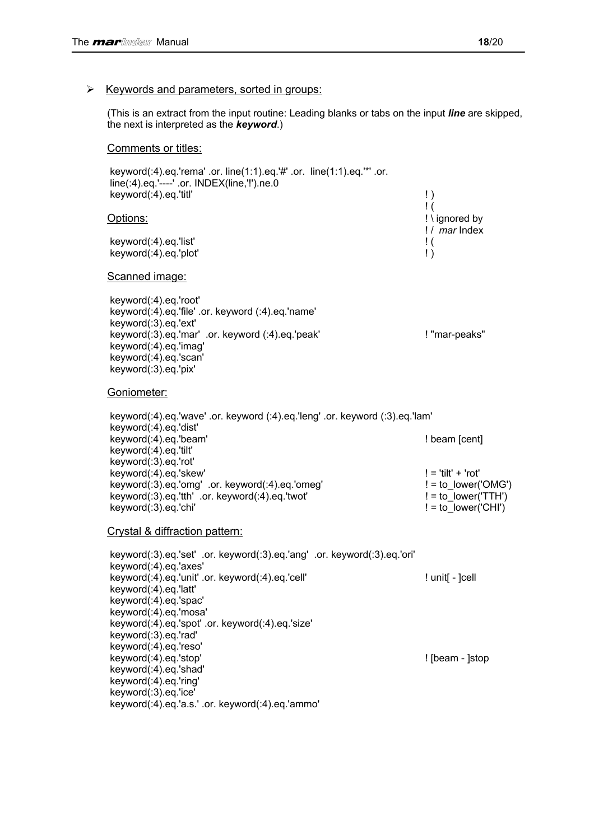#### $\triangleright$  Keywords and parameters, sorted in groups:

(This is an extract from the input routine: Leading blanks or tabs on the input *line* are skipped, the next is interpreted as the *keyword*.)

#### Comments or titles:

 keyword(:4).eq.'rema' .or. line(1:1).eq.'#' .or. line(1:1).eq.'\*' .or. line(:4).eq.'----' .or. INDEX(line,'!').ne.0 keyword(:4).eq.'titl' ! )  $\blacksquare$ Options: ! \ ignored by ! / *mar* Index keyword(:4).eq.'list' ! ( keyword(:4).eq.'plot' ! ) Scanned image: keyword(:4).eq.'root' keyword(:4).eq.'file' .or. keyword (:4).eq.'name' keyword(:3).eq.'ext' keyword(:3).eq.'mar' .or. keyword (:4).eq.'peak' | "mar-peaks" keyword(:4).eq.'imag' keyword(:4).eq.'scan' keyword(:3).eq.'pix' Goniometer: keyword(:4).eq.'wave' .or. keyword (:4).eq.'leng' .or. keyword (:3).eq.'lam' keyword(:4).eq.'dist' keyword(:4).eq.'beam'  $\blacksquare$  | beam [cent] keyword(:4).eq.'tilt' keyword(:3).eq.'rot' keyword(:4).eq.'skew' ! = 'tilt' + 'rot' keyword(:3).eq.'omg' .or. keyword(:4).eq.'omeg' ! = to\_lower('OMG')  $keyword(:3).eq.'tth' or. keyword(:4).eq.'twot'$   $!=$  to  $lower(TTH')$  keyword(:3).eq.'chi' ! = to\_lower('CHI') Crystal & diffraction pattern: keyword(:3).eq.'set' .or. keyword(:3).eq.'ang' .or. keyword(:3).eq.'ori' keyword(:4).eq.'axes' keyword(:4).eq.'unit' .or. keyword(:4).eq.'cell' ! unit[ - ]cell keyword(:4).eq.'latt' keyword(:4).eq.'spac' keyword(:4).eq.'mosa' keyword(:4).eq.'spot' .or. keyword(:4).eq.'size' keyword(:3).eq.'rad' keyword(:4).eq.'reso'

keyword(:4).eq.'stop' ! [beam - ]stop

 keyword(:4).eq.'shad' keyword(:4).eq.'ring'

keyword(:3).eq.'ice'

keyword(:4).eq.'a.s.' .or. keyword(:4).eq.'ammo'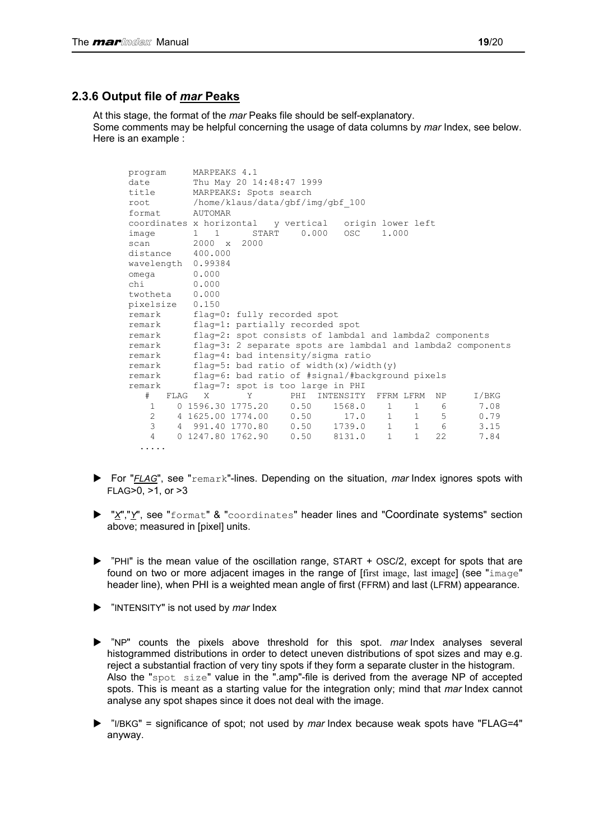### <span id="page-18-0"></span>**2.3.6 Output file of** *mar* **Peaks**

At this stage, the format of the *mar* Peaks file should be self-explanatory. Some comments may be helpful concerning the usage of data columns by *mar* Index, see below. Here is an example :

| program                        | MARPEAKS 4.1                                                                      |  |  |  |
|--------------------------------|-----------------------------------------------------------------------------------|--|--|--|
| date                           | Thu May 20 14:48:47 1999                                                          |  |  |  |
| title                          | MARPEAKS: Spots search                                                            |  |  |  |
| root                           | /home/klaus/data/gbf/img/gbf 100                                                  |  |  |  |
| format.                        | AUTOMAR                                                                           |  |  |  |
|                                | coordinates x horizontal v vertical origin lower left                             |  |  |  |
| image                          | $0.000$ OSC<br>START<br>1,000<br>$1 \quad 1$                                      |  |  |  |
| scan                           | $2000 \times 2000$                                                                |  |  |  |
| distance 400.000               |                                                                                   |  |  |  |
| wavelength 0.99384             |                                                                                   |  |  |  |
| omega                          | 0.000                                                                             |  |  |  |
| 0.000<br>chi                   |                                                                                   |  |  |  |
| twotheta 0.000                 |                                                                                   |  |  |  |
| pixelsize                      | 0.150                                                                             |  |  |  |
| remark                         | flag=0: fully recorded spot                                                       |  |  |  |
| remark                         | flag=1: partially recorded spot                                                   |  |  |  |
| remark                         | flag=2: spot consists of lambda1 and lambda2 components                           |  |  |  |
| remark                         | flag=3: 2 separate spots are lambda1 and lambda2 components                       |  |  |  |
| remark                         | flag=4: bad intensity/sigma ratio                                                 |  |  |  |
| remark                         | flag=5: bad ratio of width $(x)$ /width $(y)$                                     |  |  |  |
| remark                         | flag=6: bad ratio of #signal/#background pixels                                   |  |  |  |
| remark                         | flag=7: spot is too large in PHI                                                  |  |  |  |
| #<br>FLAG X                    | I/BKG<br>INTENSITY<br>FFRM LFRM<br>NP<br>PHI<br>Y                                 |  |  |  |
| $\mathbf{1}$                   | $0, 1596.30, 1775.20$ 0.50<br>7.08<br>1568.0<br>$1 \quad 1 \quad 6$               |  |  |  |
| $2 \left( \frac{1}{2} \right)$ | $1 \quad 1 \quad 5$<br>4 1625.00 1774.00  0.50  17.0<br>0.79                      |  |  |  |
| 3                              | $1 \qquad 1 \qquad 6$<br>4 991.40 1770.80  0.50  1739.0<br>3.15                   |  |  |  |
| $\overline{4}$                 | 0 1247.80 1762.90<br>0.50<br>$\mathbf{1}$<br>$\mathbf{1}$<br>22<br>8131.0<br>7.84 |  |  |  |
| .                              |                                                                                   |  |  |  |

- ▶ For "*FLAG*", see "remark"-lines. Depending on the situation, *mar* Index ignores spots with FLAG>0, >1, or >3
- ▶ "X","Y", see "format" & "coordinates" header lines and "Coordinate systems" section above; measured in [pixel] units.
- $\triangleright$  "PHI" is the mean value of the oscillation range, START + OSC/2, except for spots that are found on two or more adjacent images in the range of [first image, last image] (see "image" header line), when PHI is a weighted mean angle of first (FFRM) and last (LFRM) appearance.
- "INTENSITY" is not used by *mar* Index
- ▶ "NP" counts the pixels above threshold for this spot. *mar* Index analyses several histogrammed distributions in order to detect uneven distributions of spot sizes and may e.g. reject a substantial fraction of very tiny spots if they form a separate cluster in the histogram. Also the "spot size" value in the ".amp"-file is derived from the average NP of accepted spots. This is meant as a starting value for the integration only; mind that *mar* Index cannot analyse any spot shapes since it does not deal with the image.
- ▶ "I/BKG" = significance of spot; not used by *mar* Index because weak spots have "FLAG=4" anyway.